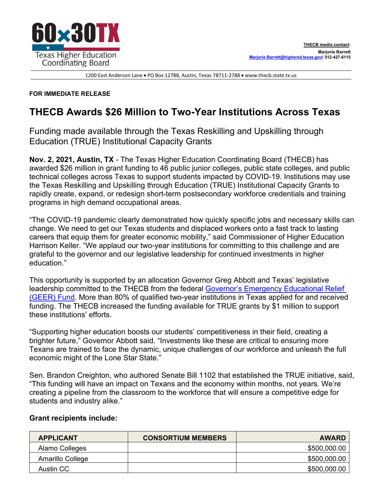

1200 East Anderson Lane • PO Box 12788, Austin, Texas 78711-2788 • [www.thecb.state.tx.us](http://www.thecb.state.tx.us/)

## **FOR IMMEDIATE RELEASE**

## **THECB Awards \$26 Million to Two-Year Institutions Across Texas**

Funding made available through the Texas Reskilling and Upskilling through Education (TRUE) Institutional Capacity Grants

**Nov. 2, 2021, Austin, TX** - The Texas Higher Education Coordinating Board (THECB) has awarded \$26 million in grant funding to 46 public junior colleges, public state colleges, and public technical colleges across Texas to support students impacted by COVID-19. Institutions may use the Texas Reskilling and Upskilling through Education (TRUE) Institutional Capacity Grants to rapidly create, expand, or redesign short-term postsecondary workforce credentials and training programs in high demand occupational areas.

"The COVID-19 pandemic clearly demonstrated how quickly specific jobs and necessary skills can change. We need to get our Texas students and displaced workers onto a fast track to lasting careers that equip them for greater economic mobility," said Commissioner of Higher Education Harrison Keller. "We applaud our two-year institutions for committing to this challenge and are grateful to the governor and our legislative leadership for continued investments in higher education."

This opportunity is supported by an allocation Governor Greg Abbott and Texas' legislative leadership committed to the THECB from the federal [Governor's Emergency Educational Relief](https://urldefense.proofpoint.com/v2/url?u=https-3A__gov.texas.gov_news_post_governor-2Dabbott-2Dallocates-2Dadditional-2D94.6m-2Demergency-2Deducation-2Drelief-2Dfunding-2Dfor-2Dtexas-2Dhigher-2Deducation&d=DwMFaQ&c=RMnmm6VPZn6InKz70COhA6ljkuRx8qD28wOQIYh-aEY&r=VxSGoQYv1lS57LfjqGtWyk2nhEgFkUEiirpJyE1ooew&m=zXoEDd19cRveFqwIJB3P7PPOq_SOCvDRCOWAyGgieTg&s=M9EFMjCE5bBJoWUmNVymW9oCWnf6eG6J51SazZSuTG4&e=)  [\(GEER\) Fund.](https://urldefense.proofpoint.com/v2/url?u=https-3A__gov.texas.gov_news_post_governor-2Dabbott-2Dallocates-2Dadditional-2D94.6m-2Demergency-2Deducation-2Drelief-2Dfunding-2Dfor-2Dtexas-2Dhigher-2Deducation&d=DwMFaQ&c=RMnmm6VPZn6InKz70COhA6ljkuRx8qD28wOQIYh-aEY&r=VxSGoQYv1lS57LfjqGtWyk2nhEgFkUEiirpJyE1ooew&m=zXoEDd19cRveFqwIJB3P7PPOq_SOCvDRCOWAyGgieTg&s=M9EFMjCE5bBJoWUmNVymW9oCWnf6eG6J51SazZSuTG4&e=) More than 80% of qualified two-year institutions in Texas applied for and received funding. The THECB increased the funding available for TRUE grants by \$1 million to support these institutions' efforts.

"Supporting higher education boosts our students' competitiveness in their field, creating a brighter future," Governor Abbott said. "Investments like these are critical to ensuring more Texans are trained to face the dynamic, unique challenges of our workforce and unleash the full economic might of the Lone Star State."

Sen. Brandon Creighton, who authored Senate Bill 1102 that established the TRUE initiative, said, "This funding will have an impact on Texans and the economy within months, not years. We're creating a pipeline from the classroom to the workforce that will ensure a competitive edge for students and industry alike."

## **Grant recipients include:**

| <b>APPLICANT</b> | <b>CONSORTIUM MEMBERS</b> | <b>AWARD</b> |
|------------------|---------------------------|--------------|
| Alamo Colleges   |                           | \$500,000.00 |
| Amarillo College |                           | \$500,000.00 |
| Austin CC        |                           | \$500,000.00 |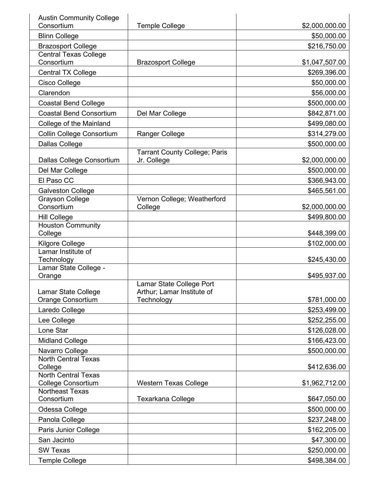| <b>Austin Community College</b><br>Consortium           | <b>Temple College</b>                                                | \$2,000,000.00 |
|---------------------------------------------------------|----------------------------------------------------------------------|----------------|
| <b>Blinn College</b>                                    |                                                                      | \$50,000.00    |
| <b>Brazosport College</b>                               |                                                                      | \$216,750.00   |
| <b>Central Texas College</b><br>Consortium              | <b>Brazosport College</b>                                            | \$1,047,507.00 |
| <b>Central TX College</b>                               |                                                                      | \$269,396.00   |
| Cisco College                                           |                                                                      | \$50,000.00    |
| Clarendon                                               |                                                                      | \$56,000.00    |
| <b>Coastal Bend College</b>                             |                                                                      | \$500,000.00   |
| <b>Coastal Bend Consortium</b>                          | Del Mar College                                                      | \$842,871.00   |
| College of the Mainland                                 |                                                                      | \$499,080.00   |
| Collin College Consortium                               | <b>Ranger College</b>                                                | \$314,279.00   |
| <b>Dallas College</b>                                   |                                                                      | \$500,000.00   |
| Dallas College Consortium                               | <b>Tarrant County College; Paris</b><br>Jr. College                  | \$2,000,000.00 |
| Del Mar College                                         |                                                                      | \$500,000.00   |
| El Paso CC                                              |                                                                      | \$366,943.00   |
|                                                         |                                                                      |                |
| <b>Galveston College</b><br><b>Grayson College</b>      | Vernon College; Weatherford                                          | \$465,561.00   |
| Consortium                                              | College                                                              | \$2,000,000.00 |
| <b>Hill College</b>                                     |                                                                      | \$499,800.00   |
| <b>Houston Community</b>                                |                                                                      |                |
| College                                                 |                                                                      | \$448,399.00   |
| Kilgore College                                         |                                                                      | \$102,000.00   |
| Lamar Institute of<br>Technology                        |                                                                      | \$245,430.00   |
| Lamar State College -<br>Orange                         |                                                                      | \$495,937.00   |
| Lamar State College<br>Orange Consortium                | Lamar State College Port<br>Arthur; Lamar Institute of<br>Technology | \$781,000.00   |
| Laredo College                                          |                                                                      | \$253,499.00   |
| Lee College                                             |                                                                      | \$252,255.00   |
| Lone Star                                               |                                                                      | \$126,028.00   |
| <b>Midland College</b>                                  |                                                                      | \$166,423.00   |
| Navarro College                                         |                                                                      | \$500,000.00   |
| <b>North Central Texas</b><br>College                   |                                                                      | \$412,636.00   |
| <b>North Central Texas</b><br><b>College Consortium</b> | <b>Western Texas College</b>                                         | \$1,962,712.00 |
| <b>Northeast Texas</b>                                  |                                                                      |                |
| Consortium                                              | Texarkana College                                                    | \$647,050.00   |
| Odessa College                                          |                                                                      | \$500,000.00   |
| Panola College                                          |                                                                      | \$237,248.00   |
| Paris Junior College                                    |                                                                      | \$162,205.00   |
| San Jacinto                                             |                                                                      | \$47,300.00    |
| <b>SW Texas</b>                                         |                                                                      | \$250,000.00   |
| <b>Temple College</b>                                   |                                                                      | \$498,384.00   |